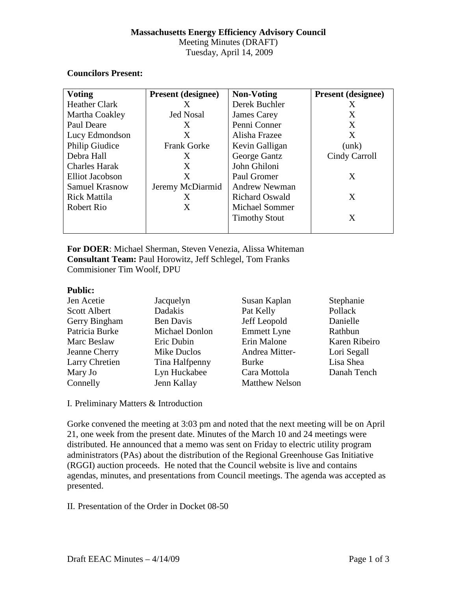# **Massachusetts Energy Efficiency Advisory Council**

Meeting Minutes (DRAFT) Tuesday, April 14, 2009

#### **Councilors Present:**

| <b>Voting</b>         | <b>Present (designee)</b> | <b>Non-Voting</b>     | <b>Present (designee)</b> |
|-----------------------|---------------------------|-----------------------|---------------------------|
| <b>Heather Clark</b>  | X                         | Derek Buchler         | X                         |
| Martha Coakley        | <b>Jed Nosal</b>          | James Carey           | X                         |
| Paul Deare            | X                         | Penni Conner          | X                         |
| Lucy Edmondson        | X                         | Alisha Frazee         | X                         |
| Philip Giudice        | <b>Frank Gorke</b>        | Kevin Galligan        | (unk)                     |
| Debra Hall            | X                         | George Gantz          | Cindy Carroll             |
| <b>Charles Harak</b>  | X                         | John Ghiloni          |                           |
| Elliot Jacobson       | X                         | Paul Gromer           | X                         |
| <b>Samuel Krasnow</b> | Jeremy McDiarmid          | <b>Andrew Newman</b>  |                           |
| <b>Rick Mattila</b>   | X                         | <b>Richard Oswald</b> | X                         |
| Robert Rio            | X                         | <b>Michael Sommer</b> |                           |
|                       |                           | <b>Timothy Stout</b>  | X                         |
|                       |                           |                       |                           |

**For DOER**: Michael Sherman, Steven Venezia, Alissa Whiteman **Consultant Team:** Paul Horowitz, Jeff Schlegel, Tom Franks Commisioner Tim Woolf, DPU

#### **Public:**

| Jen Acetie           | Jacquelyn             | Susan Kaplan          | Stephanie     |
|----------------------|-----------------------|-----------------------|---------------|
| <b>Scott Albert</b>  | Dadakis               | Pat Kelly             | Pollack       |
| Gerry Bingham        | <b>Ben Davis</b>      | Jeff Leopold          | Danielle      |
| Patricia Burke       | <b>Michael Donlon</b> | <b>Emmett Lyne</b>    | Rathbun       |
| Marc Beslaw          | Eric Dubin            | Erin Malone           | Karen Ribeiro |
| <b>Jeanne Cherry</b> | Mike Duclos           | Andrea Mitter-        | Lori Segall   |
| Larry Chretien       | Tina Halfpenny        | <b>Burke</b>          | Lisa Shea     |
| Mary Jo              | Lyn Huckabee          | Cara Mottola          | Danah Tench   |
| Connelly             | Jenn Kallay           | <b>Matthew Nelson</b> |               |

I. Preliminary Matters & Introduction

Gorke convened the meeting at 3:03 pm and noted that the next meeting will be on April 21, one week from the present date. Minutes of the March 10 and 24 meetings were distributed. He announced that a memo was sent on Friday to electric utility program administrators (PAs) about the distribution of the Regional Greenhouse Gas Initiative (RGGI) auction proceeds. He noted that the Council website is live and contains agendas, minutes, and presentations from Council meetings. The agenda was accepted as presented.

II. Presentation of the Order in Docket 08-50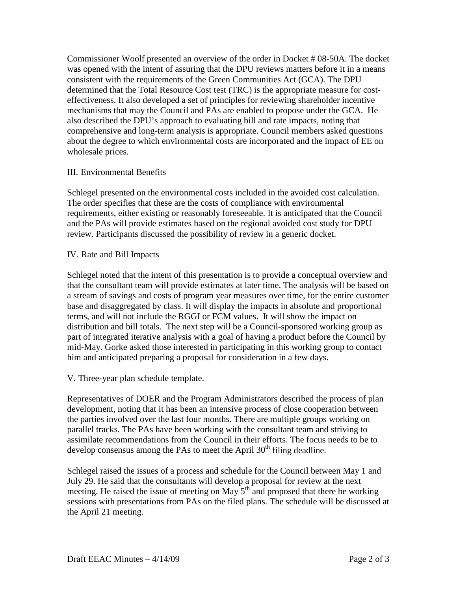Commissioner Woolf presented an overview of the order in Docket # 08-50A. The docket was opened with the intent of assuring that the DPU reviews matters before it in a means consistent with the requirements of the Green Communities Act (GCA). The DPU determined that the Total Resource Cost test (TRC) is the appropriate measure for costeffectiveness. It also developed a set of principles for reviewing shareholder incentive mechanisms that may the Council and PAs are enabled to propose under the GCA. He also described the DPU's approach to evaluating bill and rate impacts, noting that comprehensive and long-term analysis is appropriate. Council members asked questions about the degree to which environmental costs are incorporated and the impact of EE on wholesale prices.

## III. Environmental Benefits

Schlegel presented on the environmental costs included in the avoided cost calculation. The order specifies that these are the costs of compliance with environmental requirements, either existing or reasonably foreseeable. It is anticipated that the Council and the PAs will provide estimates based on the regional avoided cost study for DPU review. Participants discussed the possibility of review in a generic docket.

## IV. Rate and Bill Impacts

Schlegel noted that the intent of this presentation is to provide a conceptual overview and that the consultant team will provide estimates at later time. The analysis will be based on a stream of savings and costs of program year measures over time, for the entire customer base and disaggregated by class. It will display the impacts in absolute and proportional terms, and will not include the RGGI or FCM values. It will show the impact on distribution and bill totals. The next step will be a Council-sponsored working group as part of integrated iterative analysis with a goal of having a product before the Council by mid-May. Gorke asked those interested in participating in this working group to contact him and anticipated preparing a proposal for consideration in a few days.

V. Three-year plan schedule template.

Representatives of DOER and the Program Administrators described the process of plan development, noting that it has been an intensive process of close cooperation between the parties involved over the last four months. There are multiple groups working on parallel tracks. The PAs have been working with the consultant team and striving to assimilate recommendations from the Council in their efforts. The focus needs to be to develop consensus among the PAs to meet the April  $30<sup>th</sup>$  filing deadline.

Schlegel raised the issues of a process and schedule for the Council between May 1 and July 29. He said that the consultants will develop a proposal for review at the next meeting. He raised the issue of meeting on May  $5<sup>th</sup>$  and proposed that there be working sessions with presentations from PAs on the filed plans. The schedule will be discussed at the April 21 meeting.